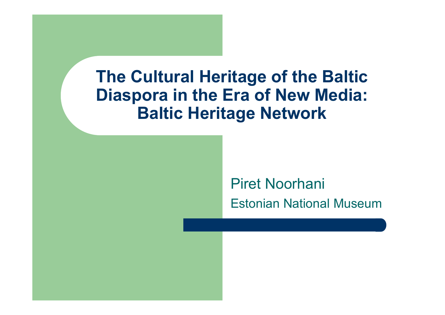## Piret NoorhaniEstonian National Museum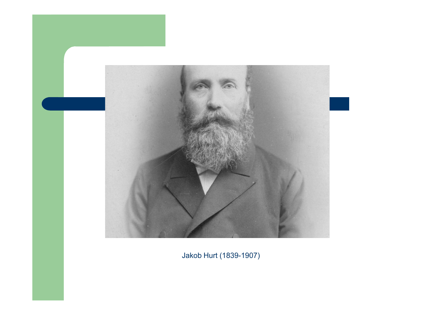

Jakob Hurt (1839-1907)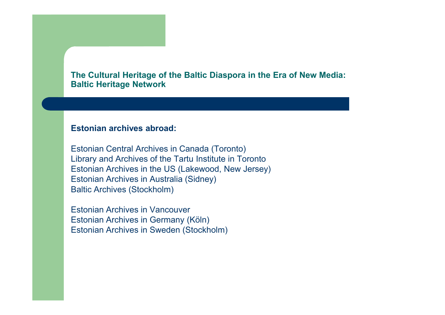#### **Estonian archives abroad:**

Estonian Central Archives in Canada (Toronto) Library and Archives of the Tartu Institute in Toronto Estonian Archives in the US (Lakewood, New Jersey)Estonian Archives in Australia (Sidney)Baltic Archives (Stockholm)

Estonian Archives in Vancouver Estonian Archives in Germany (Köln)Estonian Archives in Sweden (Stockholm)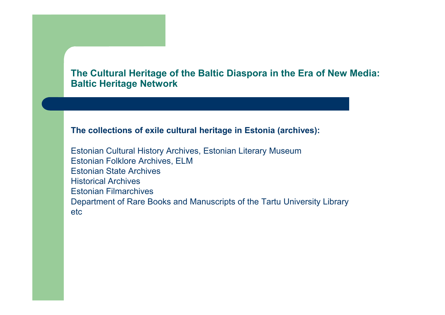#### **The collections of exile cultural heritage in Estonia (archives):**

Estonian Cultural History Archives, Estonian Literary MuseumEstonian Folklore Archives, ELMEstonian State ArchivesHistorical Archives Estonian Filmarchives Department of Rare Books and Manuscripts of the Tartu University Library etc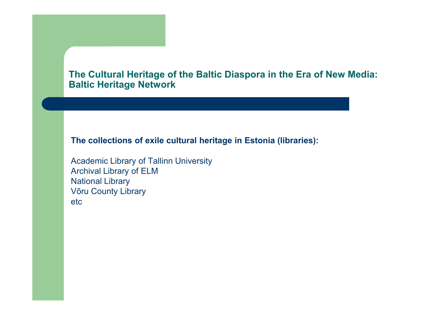**The collections of exile cultural heritage in Estonia (libraries):**

Academic Library of Tallinn UniversityArchival Library of ELMNational Library Võru County Libraryetc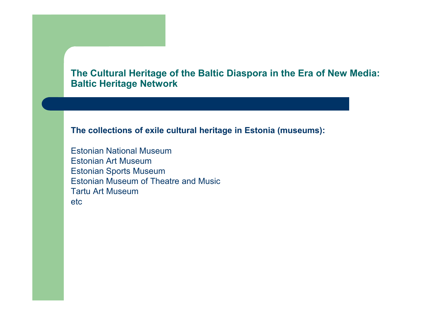**The collections of exile cultural heritage in Estonia (museums):**

Estonian National MuseumEstonian Art Museum Estonian Sports Museum Estonian Museum of Theatre and MusicTartu Art Museumetc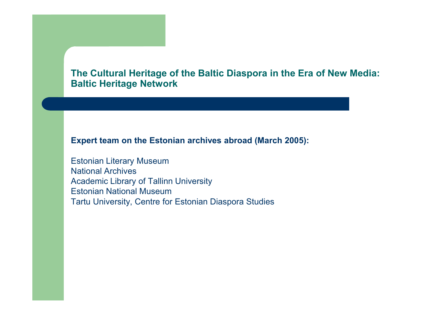#### **Expert team on the Estonian archives abroad (March 2005):**

Estonian Literary MuseumNational Archives Academic Library of Tallinn UniversityEstonian National MuseumTartu University, Centre for Estonian Diaspora Studies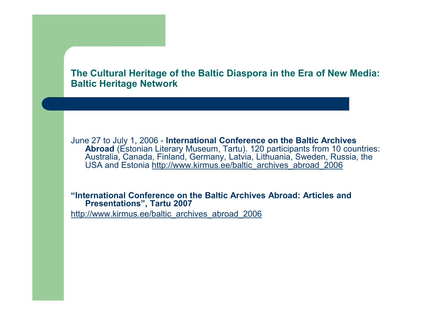

June 27 to July 1, 2006 - **International Conference on the Baltic Archives Abroad** (Estonian Literary Museum, Tartu). 120 participants from 10 countries: Australia, Canada, Finland, Germany, Latvia, Lithuania, Sweden, Russia, the<br>USA and Estonia <u>http://www.kirmus.ee/baltic\_archives\_abroad\_2006</u>

**"International Conference on the Baltic Archives Abroad: Articles and Presentations", Tartu 2007**

http://www.kirmus.ee/baltic\_archives\_abroad\_2006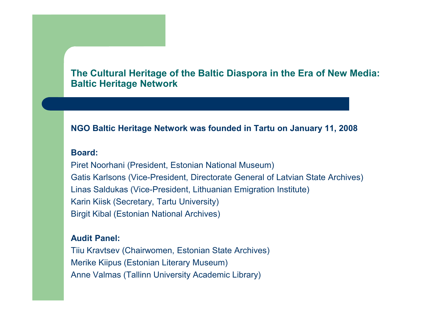#### **NGO Baltic Heritage Network was founded in Tartu on January 11, 2008**

#### **Board:**

Piret Noorhani (President, Estonian National Museum)Gatis Karlsons (Vice-President, Directorate General of Latvian State Archives)Linas Saldukas (Vice-President, Lithuanian Emigration Institute)Karin Kiisk (Secretary, Tartu University)Birgit Kibal (Estonian National Archives)

#### **Audit Panel:**

Tiiu Kravtsev (Chairwomen, Estonian State Archives)Merike Kiipus (Estonian Literary Museum)Anne Valmas (Tallinn University Academic Library)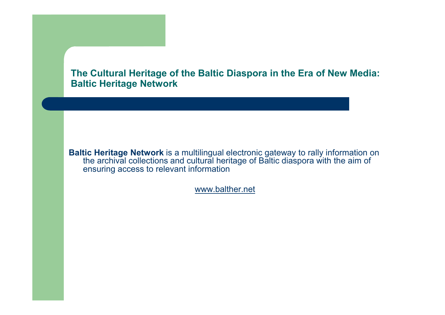**Baltic Heritage Network** is a multilingual electronic gateway to rally information on<br>the graphical callections and qultural beritage of Baltic disenses with the sim of the archival collections and cultural heritage of Baltic diaspora with the aim of ensuring access to relevant information

www.balther.net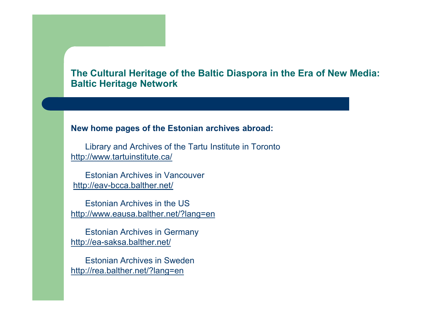#### **New home pages of the Estonian archives abroad:**

Library and Archives of the Tartu Institute in Torontohttp://www.tartuinstitute.ca/

Estonian Archives in Vancouverhttp://eav-bcca.balther.net/

Estonian Archives in the UShttp://www.eausa.balther.net/?lang=en

Estonian Archives in Germanyhttp://ea-saksa.balther.net/

Estonian Archives in Swedenhttp://rea.balther.net/?lang=en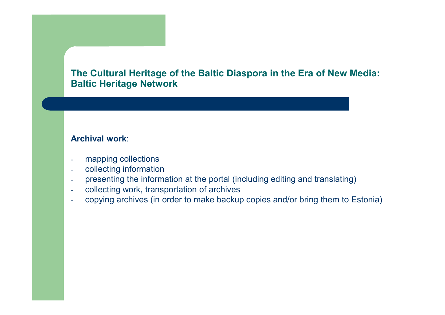#### **Archival work**:

- mapping collections
- collecting information-
- presenting the information at the portal (including editing and translating)-
- collecting work, transportation of archives
- copying archives (in order to make backup copies and/or bring them to Estonia)-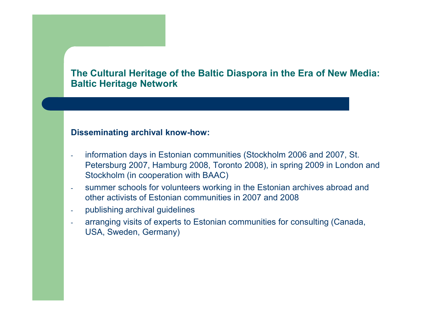#### **Disseminating archival know-how:**

- information days in Estonian communities (Stockholm 2006 and 2007, St. Petersburg 2007, Hamburg 2008, Toronto 2008), in spring 2009 in London and Stockholm (in cooperation with BAAC)
- summer schools for volunteers working in the Estonian archives abroad and other activists of Estonian communities in 2007 and 2008
- publishing archival guidelines
- arranging visits of experts to Estonian communities for consulting (Canada, USA, Sweden, Germany)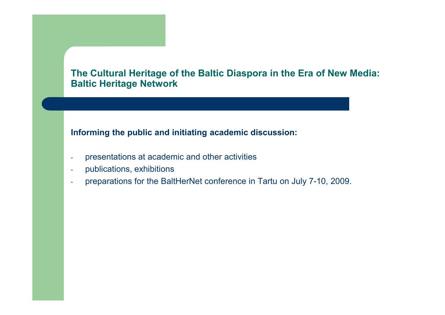#### **Informing the public and initiating academic discussion:**

- presentations at academic and other activities
- publications, exhibitions
- preparations for the BaltHerNet conference in Tartu on July 7-10, 2009.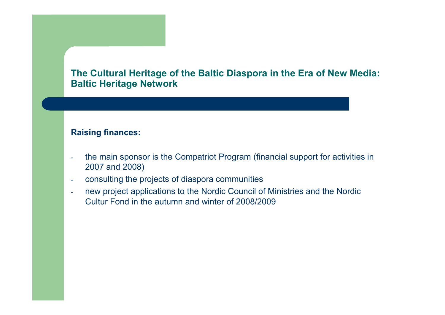#### **Raising finances:**

- the main sponsor is the Compatriot Program (financial support for activities in 2007 and 2008)
- consulting the projects of diaspora communities
- new project applications to the Nordic Council of Ministries and the Nordic -Cultur Fond in the autumn and winter of 2008/2009